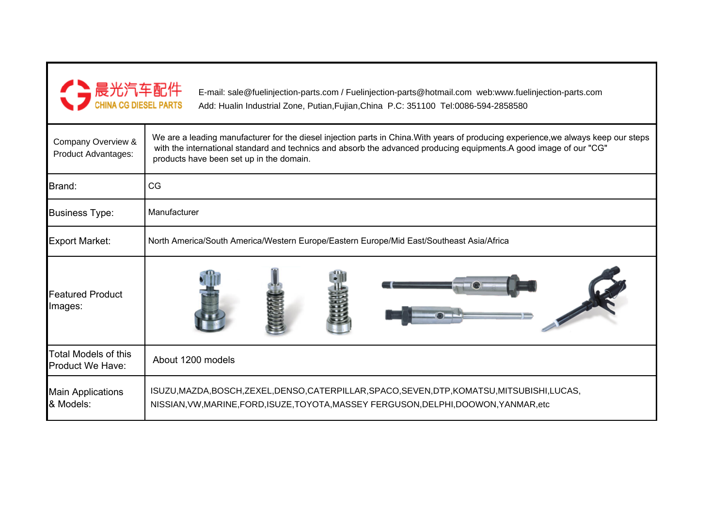

E-mail: sale@fuelinjection-parts.com / Fuelinjection-parts@hotmail.com web:www.fuelinjection-parts.comAdd: Hualin Industrial Zone, Putian,Fujian,China P.C: 351100 Tel:0086-594-2858580

| Company Overview &<br><b>Product Advantages:</b>       | We are a leading manufacturer for the diesel injection parts in China. With years of producing experience, we always keep our steps<br>with the international standard and technics and absorb the advanced producing equipments.A good image of our "CG"<br>products have been set up in the domain. |  |  |  |
|--------------------------------------------------------|-------------------------------------------------------------------------------------------------------------------------------------------------------------------------------------------------------------------------------------------------------------------------------------------------------|--|--|--|
| Brand:                                                 | CG                                                                                                                                                                                                                                                                                                    |  |  |  |
| <b>Business Type:</b>                                  | Manufacturer                                                                                                                                                                                                                                                                                          |  |  |  |
| <b>Export Market:</b>                                  | North America/South America/Western Europe/Eastern Europe/Mid East/Southeast Asia/Africa                                                                                                                                                                                                              |  |  |  |
| <b>Featured Product</b><br>Images:                     |                                                                                                                                                                                                                                                                                                       |  |  |  |
| <b>Total Models of this</b><br><b>Product We Have:</b> | About 1200 models                                                                                                                                                                                                                                                                                     |  |  |  |
| <b>Main Applications</b><br>& Models:                  | ISUZU, MAZDA, BOSCH, ZEXEL, DENSO, CATERPILLAR, SPACO, SEVEN, DTP, KOMATSU, MITSUBISHI, LUCAS,<br>NISSIAN, VW, MARINE, FORD, ISUZE, TOYOTA, MASSEY FERGUSON, DELPHI, DOOWON, YANMAR, etc                                                                                                              |  |  |  |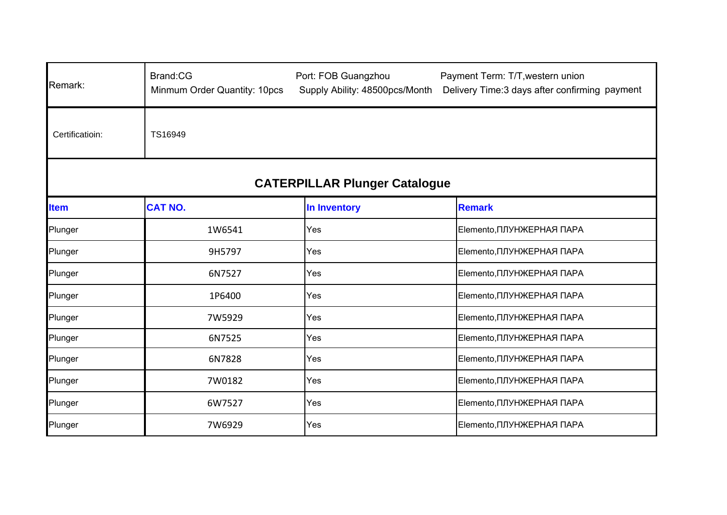| Remark:                              | Brand:CG<br>Minmum Order Quantity: 10pcs | Port: FOB Guangzhou<br>Supply Ability: 48500pcs/Month | Payment Term: T/T, western union<br>Delivery Time:3 days after confirming payment |  |  |  |
|--------------------------------------|------------------------------------------|-------------------------------------------------------|-----------------------------------------------------------------------------------|--|--|--|
| Certificatioin:                      | TS16949                                  |                                                       |                                                                                   |  |  |  |
| <b>CATERPILLAR Plunger Catalogue</b> |                                          |                                                       |                                                                                   |  |  |  |
| <b>Item</b>                          | <b>CAT NO.</b>                           | In Inventory                                          | <b>Remark</b>                                                                     |  |  |  |
| Plunger                              | 1W6541                                   | Yes                                                   | Elemento, ПЛУНЖЕРНАЯ ПАРА                                                         |  |  |  |
| Plunger                              | 9H5797                                   | Yes                                                   | Elemento, ПЛУНЖЕРНАЯ ПАРА                                                         |  |  |  |
| Plunger                              | 6N7527                                   | Yes                                                   | Elemento, ПЛУНЖЕРНАЯ ПАРА                                                         |  |  |  |
| Plunger                              | 1P6400                                   | Yes                                                   | Elemento, ПЛУНЖЕРНАЯ ПАРА                                                         |  |  |  |
| Plunger                              | 7W5929                                   | Yes                                                   | Elemento, ПЛУНЖЕРНАЯ ПАРА                                                         |  |  |  |
| Plunger                              | 6N7525                                   | Yes                                                   | Elemento, ПЛУНЖЕРНАЯ ПАРА                                                         |  |  |  |
| Plunger                              | 6N7828                                   | Yes                                                   | Elemento, ПЛУНЖЕРНАЯ ПАРА                                                         |  |  |  |
| Plunger                              | 7W0182                                   | Yes                                                   | Elemento, ПЛУНЖЕРНАЯ ПАРА                                                         |  |  |  |
| Plunger                              | 6W7527                                   | Yes                                                   | Elemento, ПЛУНЖЕРНАЯ ПАРА                                                         |  |  |  |
| Plunger                              | 7W6929                                   | Yes                                                   | Elemento, ПЛУНЖЕРНАЯ ПАРА                                                         |  |  |  |